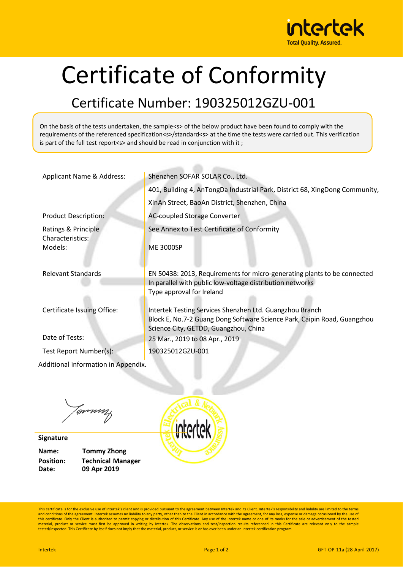

## Certificate of Conformity

## Certificate Number: 190325012GZU-001

On the basis of the tests undertaken, the sample<s> of the below product have been found to comply with the requirements of the referenced specification<s>/standard<s> at the time the tests were carried out. This verification is part of the full test report<s> and should be read in conjunction with it ;

| Applicant Name & Address:               | Shenzhen SOFAR SOLAR Co., Ltd.                                                                                                        |
|-----------------------------------------|---------------------------------------------------------------------------------------------------------------------------------------|
|                                         | 401, Building 4, AnTongDa Industrial Park, District 68, XingDong Community,                                                           |
|                                         | XinAn Street, BaoAn District, Shenzhen, China                                                                                         |
| <b>Product Description:</b>             | <b>AC-coupled Storage Converter</b>                                                                                                   |
| Ratings & Principle<br>Characteristics: | See Annex to Test Certificate of Conformity                                                                                           |
| Models:                                 | <b>ME 3000SP</b>                                                                                                                      |
|                                         |                                                                                                                                       |
| <b>Relevant Standards</b>               | EN 50438: 2013, Requirements for micro-generating plants to be connected<br>In parallel with public low-voltage distribution networks |
|                                         | Type approval for Ireland                                                                                                             |
| Certificate Issuing Office:             | Intertek Testing Services Shenzhen Ltd. Guangzhou Branch                                                                              |
|                                         | Block E, No.7-2 Guang Dong Software Science Park, Caipin Road, Guangzhou<br>Science City, GETDD, Guangzhou, China                     |
| Date of Tests:                          | 25 Mar., 2019 to 08 Apr., 2019                                                                                                        |
| Test Report Number(s):                  | 190325012GZU-001                                                                                                                      |
| Additional information in Appendix.     |                                                                                                                                       |
|                                         |                                                                                                                                       |
|                                         |                                                                                                                                       |

Jammy

**Signature Name: Tommy Zhong Date: 09 Apr 2019**

**Position: Technical Manager**



This certificate is for the exclusive use of Intertek's client and is provided pursuant to the agreement between Intertek and its Client. Intertek's responsibility and liability are limited to the terms and conditions of the agreement. Intertek assumes no liability to any party, other than to the Client in accordance with the agreement, for any loss, expense or damage occasioned by the use of<br>this certificate. Only the Cl material, product or service must first be approved in writing by Intertek. The observations and test/inspection results referenced in this Certificate are relevant only to the sample tested/inspected. This Certificate by itself does not imply that the material, product, or service is or has ever been under an Intertek certification program